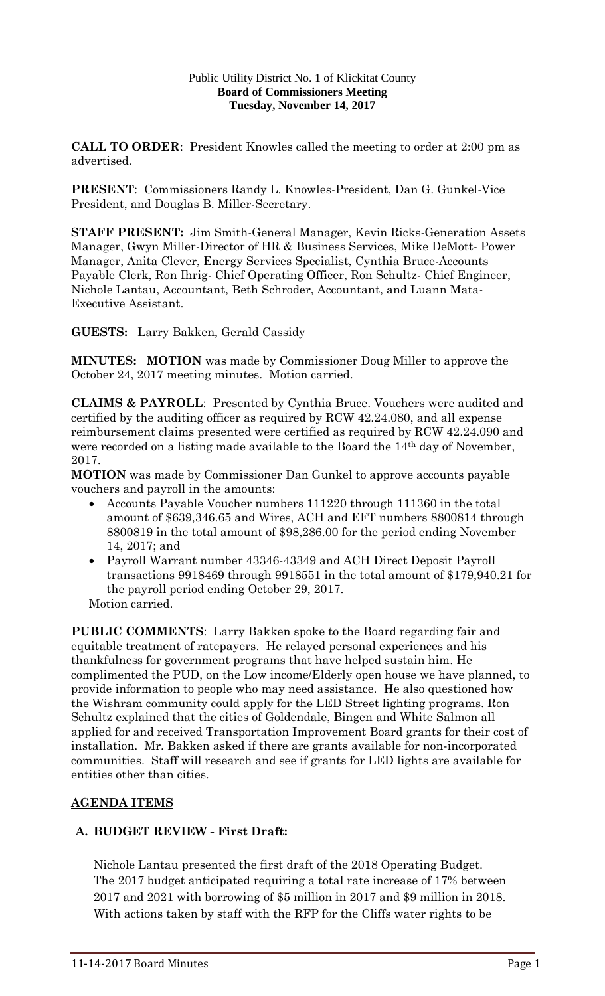#### Public Utility District No. 1 of Klickitat County **Board of Commissioners Meeting Tuesday, November 14, 2017**

**CALL TO ORDER**: President Knowles called the meeting to order at 2:00 pm as advertised.

**PRESENT**: Commissioners Randy L. Knowles-President, Dan G. Gunkel-Vice President, and Douglas B. Miller-Secretary.

**STAFF PRESENT:** Jim Smith-General Manager, Kevin Ricks-Generation Assets Manager, Gwyn Miller-Director of HR & Business Services, Mike DeMott- Power Manager, Anita Clever, Energy Services Specialist, Cynthia Bruce-Accounts Payable Clerk, Ron Ihrig- Chief Operating Officer, Ron Schultz- Chief Engineer, Nichole Lantau, Accountant, Beth Schroder, Accountant, and Luann Mata-Executive Assistant.

**GUESTS:** Larry Bakken, Gerald Cassidy

**MINUTES: MOTION** was made by Commissioner Doug Miller to approve the October 24, 2017 meeting minutes. Motion carried.

**CLAIMS & PAYROLL**: Presented by Cynthia Bruce. Vouchers were audited and certified by the auditing officer as required by RCW 42.24.080, and all expense reimbursement claims presented were certified as required by RCW 42.24.090 and were recorded on a listing made available to the Board the 14th day of November, 2017.

**MOTION** was made by Commissioner Dan Gunkel to approve accounts payable vouchers and payroll in the amounts:

- Accounts Payable Voucher numbers 111220 through 111360 in the total amount of \$639,346.65 and Wires, ACH and EFT numbers 8800814 through 8800819 in the total amount of \$98,286.00 for the period ending November 14, 2017; and
- Payroll Warrant number 43346-43349 and ACH Direct Deposit Payroll transactions 9918469 through 9918551 in the total amount of \$179,940.21 for the payroll period ending October 29, 2017.

Motion carried.

**PUBLIC COMMENTS**: Larry Bakken spoke to the Board regarding fair and equitable treatment of ratepayers. He relayed personal experiences and his thankfulness for government programs that have helped sustain him. He complimented the PUD, on the Low income/Elderly open house we have planned, to provide information to people who may need assistance. He also questioned how the Wishram community could apply for the LED Street lighting programs. Ron Schultz explained that the cities of Goldendale, Bingen and White Salmon all applied for and received Transportation Improvement Board grants for their cost of installation. Mr. Bakken asked if there are grants available for non-incorporated communities. Staff will research and see if grants for LED lights are available for entities other than cities.

## **AGENDA ITEMS**

## **A. BUDGET REVIEW - First Draft:**

Nichole Lantau presented the first draft of the 2018 Operating Budget. The 2017 budget anticipated requiring a total rate increase of 17% between 2017 and 2021 with borrowing of \$5 million in 2017 and \$9 million in 2018. With actions taken by staff with the RFP for the Cliffs water rights to be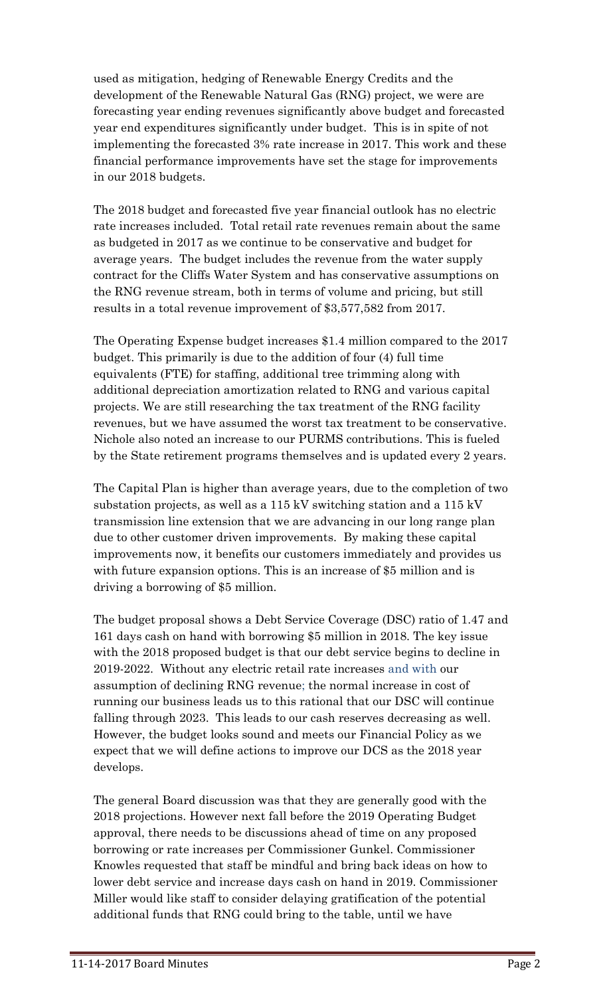used as mitigation, hedging of Renewable Energy Credits and the development of the Renewable Natural Gas (RNG) project, we were are forecasting year ending revenues significantly above budget and forecasted year end expenditures significantly under budget. This is in spite of not implementing the forecasted 3% rate increase in 2017. This work and these financial performance improvements have set the stage for improvements in our 2018 budgets.

The 2018 budget and forecasted five year financial outlook has no electric rate increases included. Total retail rate revenues remain about the same as budgeted in 2017 as we continue to be conservative and budget for average years. The budget includes the revenue from the water supply contract for the Cliffs Water System and has conservative assumptions on the RNG revenue stream, both in terms of volume and pricing, but still results in a total revenue improvement of \$3,577,582 from 2017.

The Operating Expense budget increases \$1.4 million compared to the 2017 budget. This primarily is due to the addition of four (4) full time equivalents (FTE) for staffing, additional tree trimming along with additional depreciation amortization related to RNG and various capital projects. We are still researching the tax treatment of the RNG facility revenues, but we have assumed the worst tax treatment to be conservative. Nichole also noted an increase to our PURMS contributions. This is fueled by the State retirement programs themselves and is updated every 2 years.

The Capital Plan is higher than average years, due to the completion of two substation projects, as well as a 115 kV switching station and a 115 kV transmission line extension that we are advancing in our long range plan due to other customer driven improvements. By making these capital improvements now, it benefits our customers immediately and provides us with future expansion options. This is an increase of \$5 million and is driving a borrowing of \$5 million.

The budget proposal shows a Debt Service Coverage (DSC) ratio of 1.47 and 161 days cash on hand with borrowing \$5 million in 2018. The key issue with the 2018 proposed budget is that our debt service begins to decline in 2019-2022. Without any electric retail rate increases and with our assumption of declining RNG revenue; the normal increase in cost of running our business leads us to this rational that our DSC will continue falling through 2023. This leads to our cash reserves decreasing as well. However, the budget looks sound and meets our Financial Policy as we expect that we will define actions to improve our DCS as the 2018 year develops.

The general Board discussion was that they are generally good with the 2018 projections. However next fall before the 2019 Operating Budget approval, there needs to be discussions ahead of time on any proposed borrowing or rate increases per Commissioner Gunkel. Commissioner Knowles requested that staff be mindful and bring back ideas on how to lower debt service and increase days cash on hand in 2019. Commissioner Miller would like staff to consider delaying gratification of the potential additional funds that RNG could bring to the table, until we have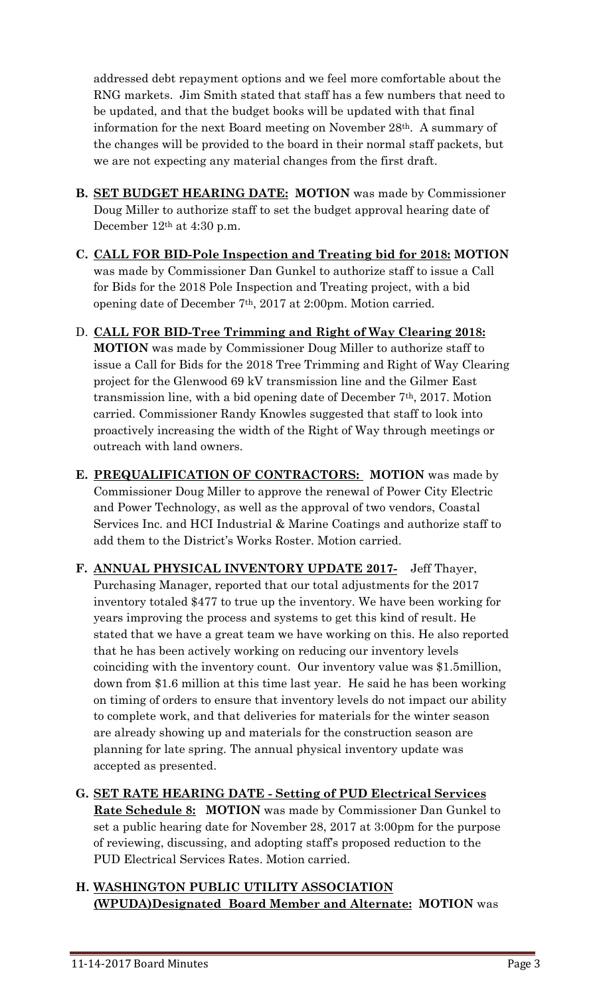addressed debt repayment options and we feel more comfortable about the RNG markets. Jim Smith stated that staff has a few numbers that need to be updated, and that the budget books will be updated with that final information for the next Board meeting on November 28th. A summary of the changes will be provided to the board in their normal staff packets, but we are not expecting any material changes from the first draft.

- **B. SET BUDGET HEARING DATE: MOTION** was made by Commissioner Doug Miller to authorize staff to set the budget approval hearing date of December 12<sup>th</sup> at 4:30 p.m.
- **C. CALL FOR BID-Pole Inspection and Treating bid for 2018: MOTION** was made by Commissioner Dan Gunkel to authorize staff to issue a Call for Bids for the 2018 Pole Inspection and Treating project, with a bid opening date of December 7th, 2017 at 2:00pm. Motion carried.
- D. **CALL FOR BID-Tree Trimming and Right of Way Clearing 2018: MOTION** was made by Commissioner Doug Miller to authorize staff to issue a Call for Bids for the 2018 Tree Trimming and Right of Way Clearing project for the Glenwood 69 kV transmission line and the Gilmer East transmission line, with a bid opening date of December 7th, 2017. Motion carried. Commissioner Randy Knowles suggested that staff to look into proactively increasing the width of the Right of Way through meetings or outreach with land owners.
- **E. PREQUALIFICATION OF CONTRACTORS: MOTION** was made by Commissioner Doug Miller to approve the renewal of Power City Electric and Power Technology, as well as the approval of two vendors, Coastal Services Inc. and HCI Industrial & Marine Coatings and authorize staff to add them to the District's Works Roster. Motion carried.
- **F. ANNUAL PHYSICAL INVENTORY UPDATE 2017-** Jeff Thayer, Purchasing Manager, reported that our total adjustments for the 2017 inventory totaled \$477 to true up the inventory. We have been working for years improving the process and systems to get this kind of result. He stated that we have a great team we have working on this. He also reported that he has been actively working on reducing our inventory levels coinciding with the inventory count. Our inventory value was \$1.5million, down from \$1.6 million at this time last year. He said he has been working on timing of orders to ensure that inventory levels do not impact our ability to complete work, and that deliveries for materials for the winter season are already showing up and materials for the construction season are planning for late spring. The annual physical inventory update was accepted as presented.
- **G. SET RATE HEARING DATE - Setting of PUD Electrical Services Rate Schedule 8: MOTION** was made by Commissioner Dan Gunkel to set a public hearing date for November 28, 2017 at 3:00pm for the purpose of reviewing, discussing, and adopting staff's proposed reduction to the PUD Electrical Services Rates. Motion carried.
- **H. WASHINGTON PUBLIC UTILITY ASSOCIATION (WPUDA)Designated Board Member and Alternate: MOTION** was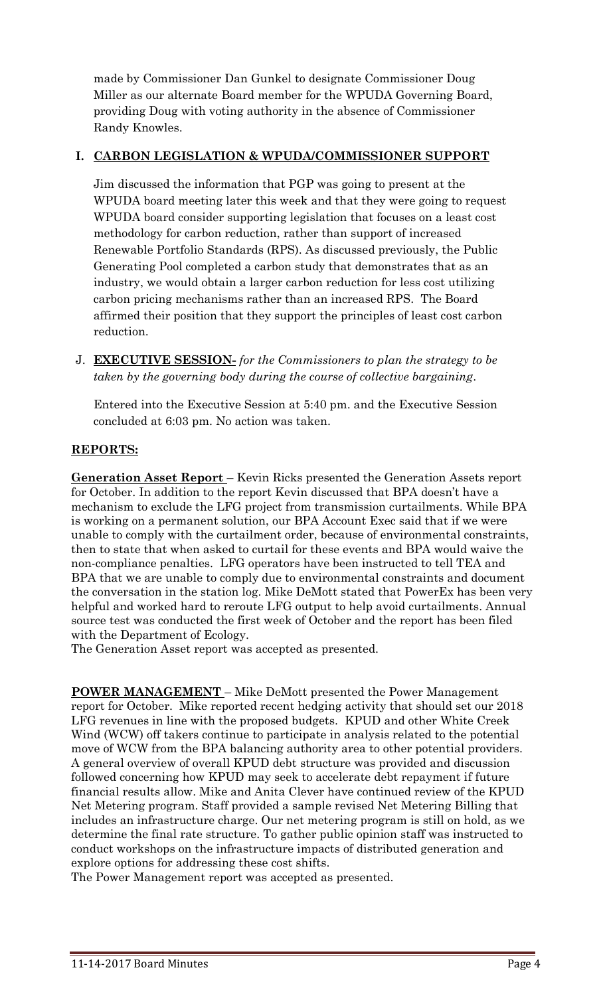made by Commissioner Dan Gunkel to designate Commissioner Doug Miller as our alternate Board member for the WPUDA Governing Board, providing Doug with voting authority in the absence of Commissioner Randy Knowles.

## **I. CARBON LEGISLATION & WPUDA/COMMISSIONER SUPPORT**

Jim discussed the information that PGP was going to present at the WPUDA board meeting later this week and that they were going to request WPUDA board consider supporting legislation that focuses on a least cost methodology for carbon reduction, rather than support of increased Renewable Portfolio Standards (RPS). As discussed previously, the Public Generating Pool completed a carbon study that demonstrates that as an industry, we would obtain a larger carbon reduction for less cost utilizing carbon pricing mechanisms rather than an increased RPS. The Board affirmed their position that they support the principles of least cost carbon reduction.

J. **EXECUTIVE SESSION-** *for the Commissioners to plan the strategy to be taken by the governing body during the course of collective bargaining*.

Entered into the Executive Session at 5:40 pm. and the Executive Session concluded at 6:03 pm. No action was taken.

# **REPORTS:**

**Generation Asset Report** – Kevin Ricks presented the Generation Assets report for October. In addition to the report Kevin discussed that BPA doesn't have a mechanism to exclude the LFG project from transmission curtailments. While BPA is working on a permanent solution, our BPA Account Exec said that if we were unable to comply with the curtailment order, because of environmental constraints, then to state that when asked to curtail for these events and BPA would waive the non-compliance penalties. LFG operators have been instructed to tell TEA and BPA that we are unable to comply due to environmental constraints and document the conversation in the station log. Mike DeMott stated that PowerEx has been very helpful and worked hard to reroute LFG output to help avoid curtailments. Annual source test was conducted the first week of October and the report has been filed with the Department of Ecology.

The Generation Asset report was accepted as presented.

**POWER MANAGEMENT** – Mike DeMott presented the Power Management report for October. Mike reported recent hedging activity that should set our 2018 LFG revenues in line with the proposed budgets. KPUD and other White Creek Wind (WCW) off takers continue to participate in analysis related to the potential move of WCW from the BPA balancing authority area to other potential providers. A general overview of overall KPUD debt structure was provided and discussion followed concerning how KPUD may seek to accelerate debt repayment if future financial results allow. Mike and Anita Clever have continued review of the KPUD Net Metering program. Staff provided a sample revised Net Metering Billing that includes an infrastructure charge. Our net metering program is still on hold, as we determine the final rate structure. To gather public opinion staff was instructed to conduct workshops on the infrastructure impacts of distributed generation and explore options for addressing these cost shifts.

The Power Management report was accepted as presented.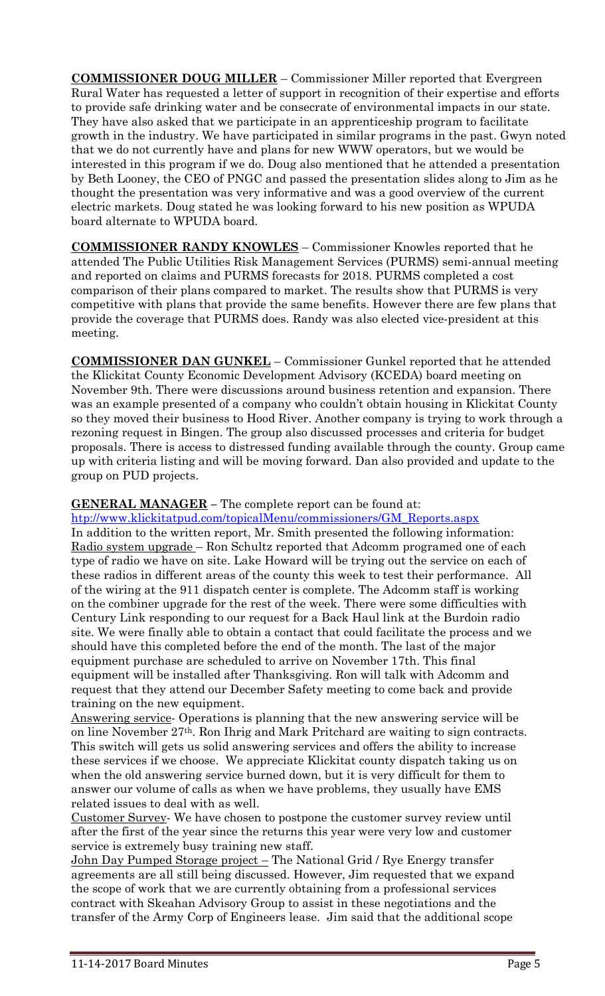**COMMISSIONER DOUG MILLER** – Commissioner Miller reported that Evergreen Rural Water has requested a letter of support in recognition of their expertise and efforts to provide safe drinking water and be consecrate of environmental impacts in our state. They have also asked that we participate in an apprenticeship program to facilitate growth in the industry. We have participated in similar programs in the past. Gwyn noted that we do not currently have and plans for new WWW operators, but we would be interested in this program if we do. Doug also mentioned that he attended a presentation by Beth Looney, the CEO of PNGC and passed the presentation slides along to Jim as he thought the presentation was very informative and was a good overview of the current electric markets. Doug stated he was looking forward to his new position as WPUDA board alternate to WPUDA board.

**COMMISSIONER RANDY KNOWLES** – Commissioner Knowles reported that he attended The Public Utilities Risk Management Services (PURMS) semi-annual meeting and reported on claims and PURMS forecasts for 2018. PURMS completed a cost comparison of their plans compared to market. The results show that PURMS is very competitive with plans that provide the same benefits. However there are few plans that provide the coverage that PURMS does. Randy was also elected vice-president at this meeting.

**COMMISSIONER DAN GUNKEL** – Commissioner Gunkel reported that he attended the Klickitat County Economic Development Advisory (KCEDA) board meeting on November 9th. There were discussions around business retention and expansion. There was an example presented of a company who couldn't obtain housing in Klickitat County so they moved their business to Hood River. Another company is trying to work through a rezoning request in Bingen. The group also discussed processes and criteria for budget proposals. There is access to distressed funding available through the county. Group came up with criteria listing and will be moving forward. Dan also provided and update to the group on PUD projects.

#### **GENERAL MANAGER –** The complete report can be found at:

[htp://www.klickitatpud.com/topicalMenu/commissioners/GM\\_Reports.aspx](http://www.klickitatpud.com/topicalMenu/commissioners/GM_Reports.aspx) In addition to the written report, Mr. Smith presented the following information: Radio system upgrade – Ron Schultz reported that Adcomm programed one of each type of radio we have on site. Lake Howard will be trying out the service on each of these radios in different areas of the county this week to test their performance. All of the wiring at the 911 dispatch center is complete. The Adcomm staff is working on the combiner upgrade for the rest of the week. There were some difficulties with Century Link responding to our request for a Back Haul link at the Burdoin radio site. We were finally able to obtain a contact that could facilitate the process and we should have this completed before the end of the month. The last of the major equipment purchase are scheduled to arrive on November 17th. This final equipment will be installed after Thanksgiving. Ron will talk with Adcomm and request that they attend our December Safety meeting to come back and provide training on the new equipment.

Answering service- Operations is planning that the new answering service will be on line November 27th. Ron Ihrig and Mark Pritchard are waiting to sign contracts. This switch will gets us solid answering services and offers the ability to increase these services if we choose. We appreciate Klickitat county dispatch taking us on when the old answering service burned down, but it is very difficult for them to answer our volume of calls as when we have problems, they usually have EMS related issues to deal with as well.

Customer Survey- We have chosen to postpone the customer survey review until after the first of the year since the returns this year were very low and customer service is extremely busy training new staff.

John Day Pumped Storage project – The National Grid / Rye Energy transfer agreements are all still being discussed. However, Jim requested that we expand the scope of work that we are currently obtaining from a professional services contract with Skeahan Advisory Group to assist in these negotiations and the transfer of the Army Corp of Engineers lease. Jim said that the additional scope